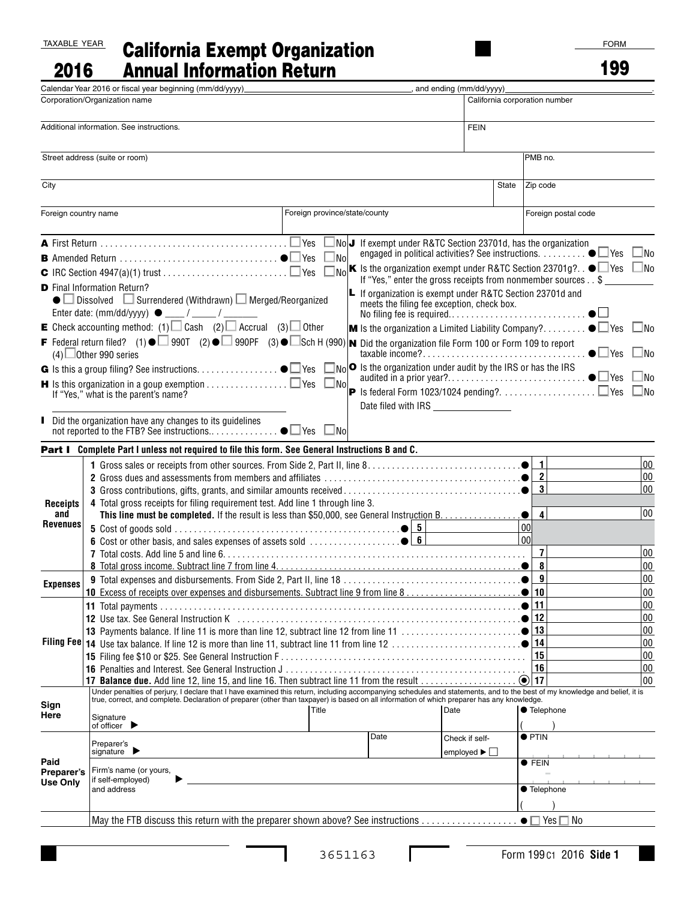## TAXABLE YEAR

2016

## California Exempt Organization Annual Information Return

■

|                                                          | Calendar Year 2016 or fiscal year beginning (mm/dd/yyyy)                                                                                                                                                                                                                                                                                                                                                                                                                                                                                                                                                                                |                            |                                                                                                                                                                                                                                                                                                                                                                                                                                                                                                                                                                                                                                               | and ending (mm/dd/yyyy)_                                |  |                                                                                                             |  |                                        |  |
|----------------------------------------------------------|-----------------------------------------------------------------------------------------------------------------------------------------------------------------------------------------------------------------------------------------------------------------------------------------------------------------------------------------------------------------------------------------------------------------------------------------------------------------------------------------------------------------------------------------------------------------------------------------------------------------------------------------|----------------------------|-----------------------------------------------------------------------------------------------------------------------------------------------------------------------------------------------------------------------------------------------------------------------------------------------------------------------------------------------------------------------------------------------------------------------------------------------------------------------------------------------------------------------------------------------------------------------------------------------------------------------------------------------|---------------------------------------------------------|--|-------------------------------------------------------------------------------------------------------------|--|----------------------------------------|--|
| Corporation/Organization name                            |                                                                                                                                                                                                                                                                                                                                                                                                                                                                                                                                                                                                                                         |                            |                                                                                                                                                                                                                                                                                                                                                                                                                                                                                                                                                                                                                                               |                                                         |  | California corporation number                                                                               |  |                                        |  |
| Additional information. See instructions.<br><b>FEIN</b> |                                                                                                                                                                                                                                                                                                                                                                                                                                                                                                                                                                                                                                         |                            |                                                                                                                                                                                                                                                                                                                                                                                                                                                                                                                                                                                                                                               |                                                         |  |                                                                                                             |  |                                        |  |
|                                                          | Street address (suite or room)                                                                                                                                                                                                                                                                                                                                                                                                                                                                                                                                                                                                          |                            |                                                                                                                                                                                                                                                                                                                                                                                                                                                                                                                                                                                                                                               |                                                         |  | PMB no.                                                                                                     |  |                                        |  |
| City<br>State                                            |                                                                                                                                                                                                                                                                                                                                                                                                                                                                                                                                                                                                                                         |                            |                                                                                                                                                                                                                                                                                                                                                                                                                                                                                                                                                                                                                                               |                                                         |  | Zip code                                                                                                    |  |                                        |  |
| Foreign country name                                     |                                                                                                                                                                                                                                                                                                                                                                                                                                                                                                                                                                                                                                         |                            | Foreign province/state/county                                                                                                                                                                                                                                                                                                                                                                                                                                                                                                                                                                                                                 |                                                         |  | Foreign postal code                                                                                         |  |                                        |  |
|                                                          | $\blacktriangle$ First Return $\ldots \ldots \ldots \ldots \ldots \ldots \ldots \ldots \ldots \ldots \ldots \blacksquare$<br><b>D</b> Final Information Return?<br>$\bullet$ Dissolved $\Box$ Surrendered (Withdrawn) $\Box$ Merged/Reorganized<br>E Check accounting method: (1) $\Box$ Cash (2) $\Box$ Accrual (3) $\Box$ Other<br>F Federal return filed? (1) $\bullet$ 990T (2) $\bullet$ 990PF (3) $\bullet$ Sch H (990) <b>N</b> Did the organization file Form 100 or Form 109 to report<br>$(4)$ Other 990 series<br>$\blacksquare$ Is this organization in a goup exemption $\Box$ Yes<br>If "Yes," what is the parent's name? | ]Yes<br>No.<br>No.<br>_ No | $\text{No}$ J If exempt under R&TC Section 23701d, has the organization<br>engaged in political activities? See instructions. $\ldots \ldots \bullet \Box$ Yes<br>K Is the organization exempt under R&TC Section 23701g? $\bullet$ Yes $\Box$ No<br>If "Yes," enter the gross receipts from nonmember sources \$<br><b>L</b> If organization is exempt under R&TC Section 23701d and<br>meets the filing fee exception, check box.<br><b>M</b> Is the organization a Limited Liability Company? $\bullet \Box$ Yes<br>$\lceil N_0 \rceil$ Is the organization under audit by the IRS or has the IRS<br>Date filed with IRS _________________ |                                                         |  |                                                                                                             |  | $\Box$ No<br>$\Box$ No<br>- INo<br>⊿No |  |
|                                                          | Did the organization have any changes to its guidelines<br>Part I Complete Part I unless not required to file this form. See General Instructions B and C.                                                                                                                                                                                                                                                                                                                                                                                                                                                                              |                            |                                                                                                                                                                                                                                                                                                                                                                                                                                                                                                                                                                                                                                               |                                                         |  |                                                                                                             |  |                                        |  |
| Receipts<br>and<br>Revenues                              | 4 Total gross receipts for filing requirement test. Add line 1 through line 3.                                                                                                                                                                                                                                                                                                                                                                                                                                                                                                                                                          |                            |                                                                                                                                                                                                                                                                                                                                                                                                                                                                                                                                                                                                                                               |                                                         |  | $\mathbf{1}$<br>$\overline{2}$<br>$\mathbf{3}$<br>$\overline{4}$<br>$\bullet$<br>00<br>00<br>$\overline{7}$ |  | 00 <br><u> 00</u><br>00<br> 00<br>00   |  |
| <b>Expenses</b>                                          |                                                                                                                                                                                                                                                                                                                                                                                                                                                                                                                                                                                                                                         |                            |                                                                                                                                                                                                                                                                                                                                                                                                                                                                                                                                                                                                                                               |                                                         |  | 8<br>9<br>10<br>$\bullet$                                                                                   |  | 00<br>00<br>00                         |  |
|                                                          | 12 Use tax. See General Instruction K (education of the contract of the contract of the contract of the contract of the contract of the contract of the contract of the contract of the contract of the contract of the contra<br>17 Balance due. Add line 12, line 15, and line 16. Then subtract line 11 from the result                                                                                                                                                                                                                                                                                                              |                            |                                                                                                                                                                                                                                                                                                                                                                                                                                                                                                                                                                                                                                               |                                                         |  | 11<br>12<br>13<br>14<br>15<br>16<br>$\bigcirc$ 17                                                           |  | 00<br>00<br>00<br>00<br>00<br>00<br>00 |  |
| Sign<br>Here                                             | Under penalties of perjury, I declare that I have examined this return, including accompanying schedules and statements, and to the best of my knowledge and belief, it is<br>true, correct, and complete. Declaration of preparer (other than taxpayer) is based on all information of which preparer has any knowledge.<br>Signature<br>of officer $\blacktriangleright$                                                                                                                                                                                                                                                              | Title                      |                                                                                                                                                                                                                                                                                                                                                                                                                                                                                                                                                                                                                                               | Date                                                    |  | <b>Telephone</b>                                                                                            |  |                                        |  |
| Paid<br>Preparer's<br><b>Use Only</b>                    | Preparer's<br>signature $\blacktriangleright$<br>Firm's name (or yours,<br>if self-employed)<br>and address                                                                                                                                                                                                                                                                                                                                                                                                                                                                                                                             |                            | Date                                                                                                                                                                                                                                                                                                                                                                                                                                                                                                                                                                                                                                          | Check if self-<br>employed $\blacktriangleright$ $\Box$ |  | $\bullet$ PTIN<br>$\bullet$ FEIN<br>● Telephone                                                             |  |                                        |  |
|                                                          |                                                                                                                                                                                                                                                                                                                                                                                                                                                                                                                                                                                                                                         |                            |                                                                                                                                                                                                                                                                                                                                                                                                                                                                                                                                                                                                                                               |                                                         |  |                                                                                                             |  |                                        |  |